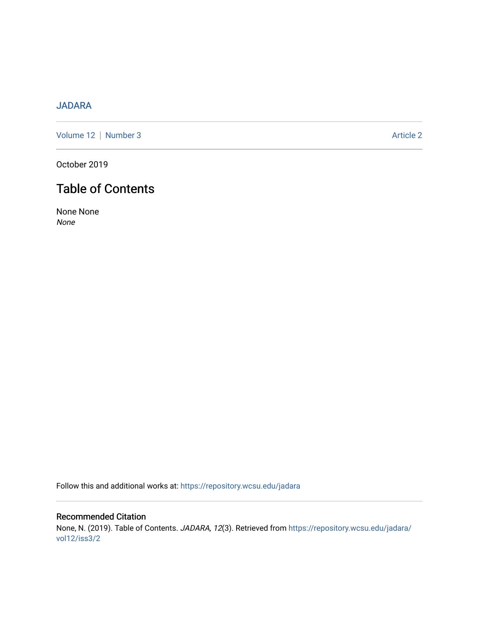# [JADARA](https://repository.wcsu.edu/jadara)

[Volume 12](https://repository.wcsu.edu/jadara/vol12) | [Number 3](https://repository.wcsu.edu/jadara/vol12/iss3) Article 2

October 2019

# Table of Contents

None None None

Follow this and additional works at: [https://repository.wcsu.edu/jadara](https://repository.wcsu.edu/jadara?utm_source=repository.wcsu.edu%2Fjadara%2Fvol12%2Fiss3%2F2&utm_medium=PDF&utm_campaign=PDFCoverPages)

Recommended Citation None, N. (2019). Table of Contents. JADARA, 12(3). Retrieved from [https://repository.wcsu.edu/jadara/](https://repository.wcsu.edu/jadara/vol12/iss3/2?utm_source=repository.wcsu.edu%2Fjadara%2Fvol12%2Fiss3%2F2&utm_medium=PDF&utm_campaign=PDFCoverPages) [vol12/iss3/2](https://repository.wcsu.edu/jadara/vol12/iss3/2?utm_source=repository.wcsu.edu%2Fjadara%2Fvol12%2Fiss3%2F2&utm_medium=PDF&utm_campaign=PDFCoverPages)